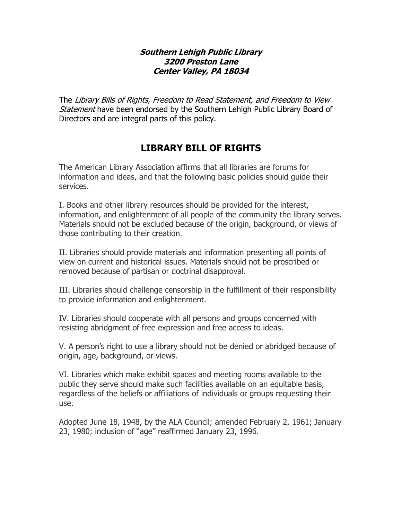## **Southern Lehigh Public Library 3200 Preston Lane Center Valley, PA 18034**

The Library Bills of Rights, Freedom to Read Statement, and Freedom to View Statement have been endorsed by the Southern Lehigh Public Library Board of Directors and are integral parts of this policy.

## **LIBRARY BILL OF RIGHTS**

The American Library Association affirms that all libraries are forums for information and ideas, and that the following basic policies should guide their services.

I. Books and other library resources should be provided for the interest, information, and enlightenment of all people of the community the library serves. Materials should not be excluded because of the origin, background, or views of those contributing to their creation.

II. Libraries should provide materials and information presenting all points of view on current and historical issues. Materials should not be proscribed or removed because of partisan or doctrinal disapproval.

III. Libraries should challenge censorship in the fulfillment of their responsibility to provide information and enlightenment.

IV. Libraries should cooperate with all persons and groups concerned with resisting abridgment of free expression and free access to ideas.

V. A person's right to use a library should not be denied or abridged because of origin, age, background, or views.

VI. Libraries which make exhibit spaces and meeting rooms available to the public they serve should make such facilities available on an equitable basis, regardless of the beliefs or affiliations of individuals or groups requesting their use.

Adopted June 18, 1948, by the ALA Council; amended February 2, 1961; January 23, 1980; inclusion of "age" reaffirmed January 23, 1996.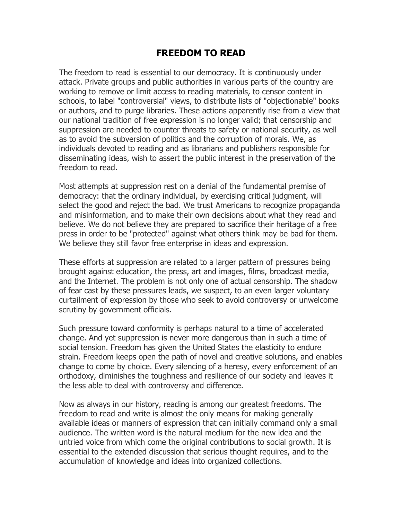## **FREEDOM TO READ**

The freedom to read is essential to our democracy. It is continuously under attack. Private groups and public authorities in various parts of the country are working to remove or limit access to reading materials, to censor content in schools, to label "controversial" views, to distribute lists of "objectionable" books or authors, and to purge libraries. These actions apparently rise from a view that our national tradition of free expression is no longer valid; that censorship and suppression are needed to counter threats to safety or national security, as well as to avoid the subversion of politics and the corruption of morals. We, as individuals devoted to reading and as librarians and publishers responsible for disseminating ideas, wish to assert the public interest in the preservation of the freedom to read.

Most attempts at suppression rest on a denial of the fundamental premise of democracy: that the ordinary individual, by exercising critical judgment, will select the good and reject the bad. We trust Americans to recognize propaganda and misinformation, and to make their own decisions about what they read and believe. We do not believe they are prepared to sacrifice their heritage of a free press in order to be "protected" against what others think may be bad for them. We believe they still favor free enterprise in ideas and expression.

These efforts at suppression are related to a larger pattern of pressures being brought against education, the press, art and images, films, broadcast media, and the Internet. The problem is not only one of actual censorship. The shadow of fear cast by these pressures leads, we suspect, to an even larger voluntary curtailment of expression by those who seek to avoid controversy or unwelcome scrutiny by government officials.

Such pressure toward conformity is perhaps natural to a time of accelerated change. And yet suppression is never more dangerous than in such a time of social tension. Freedom has given the United States the elasticity to endure strain. Freedom keeps open the path of novel and creative solutions, and enables change to come by choice. Every silencing of a heresy, every enforcement of an orthodoxy, diminishes the toughness and resilience of our society and leaves it the less able to deal with controversy and difference.

Now as always in our history, reading is among our greatest freedoms. The freedom to read and write is almost the only means for making generally available ideas or manners of expression that can initially command only a small audience. The written word is the natural medium for the new idea and the untried voice from which come the original contributions to social growth. It is essential to the extended discussion that serious thought requires, and to the accumulation of knowledge and ideas into organized collections.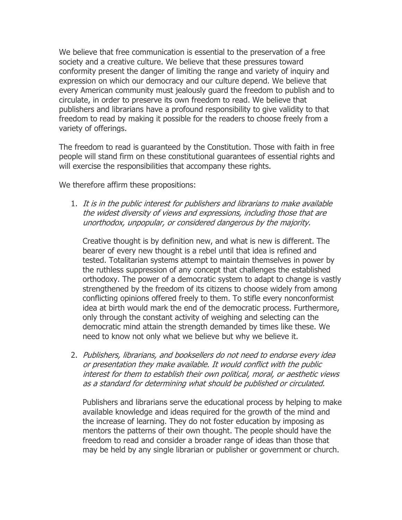We believe that free communication is essential to the preservation of a free society and a creative culture. We believe that these pressures toward conformity present the danger of limiting the range and variety of inquiry and expression on which our democracy and our culture depend. We believe that every American community must jealously guard the freedom to publish and to circulate, in order to preserve its own freedom to read. We believe that publishers and librarians have a profound responsibility to give validity to that freedom to read by making it possible for the readers to choose freely from a variety of offerings.

The freedom to read is guaranteed by the Constitution. Those with faith in free people will stand firm on these constitutional guarantees of essential rights and will exercise the responsibilities that accompany these rights.

We therefore affirm these propositions:

1. It is in the public interest for publishers and librarians to make available the widest diversity of views and expressions, including those that are unorthodox, unpopular, or considered dangerous by the majority.

Creative thought is by definition new, and what is new is different. The bearer of every new thought is a rebel until that idea is refined and tested. Totalitarian systems attempt to maintain themselves in power by the ruthless suppression of any concept that challenges the established orthodoxy. The power of a democratic system to adapt to change is vastly strengthened by the freedom of its citizens to choose widely from among conflicting opinions offered freely to them. To stifle every nonconformist idea at birth would mark the end of the democratic process. Furthermore, only through the constant activity of weighing and selecting can the democratic mind attain the strength demanded by times like these. We need to know not only what we believe but why we believe it.

2. Publishers, librarians, and booksellers do not need to endorse every idea or presentation they make available. It would conflict with the public interest for them to establish their own political, moral, or aesthetic views as a standard for determining what should be published or circulated.

Publishers and librarians serve the educational process by helping to make available knowledge and ideas required for the growth of the mind and the increase of learning. They do not foster education by imposing as mentors the patterns of their own thought. The people should have the freedom to read and consider a broader range of ideas than those that may be held by any single librarian or publisher or government or church.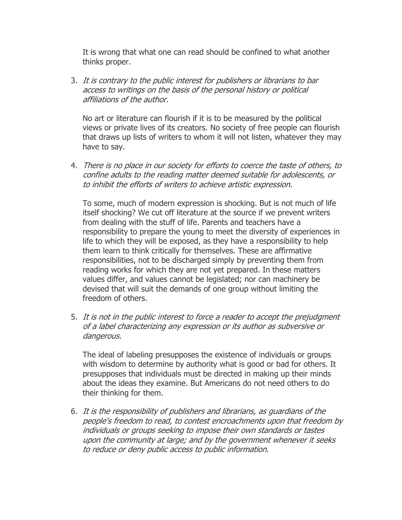It is wrong that what one can read should be confined to what another thinks proper.

3. It is contrary to the public interest for publishers or librarians to bar access to writings on the basis of the personal history or political affiliations of the author.

No art or literature can flourish if it is to be measured by the political views or private lives of its creators. No society of free people can flourish that draws up lists of writers to whom it will not listen, whatever they may have to say.

4. There is no place in our society for efforts to coerce the taste of others, to confine adults to the reading matter deemed suitable for adolescents, or to inhibit the efforts of writers to achieve artistic expression.

To some, much of modern expression is shocking. But is not much of life itself shocking? We cut off literature at the source if we prevent writers from dealing with the stuff of life. Parents and teachers have a responsibility to prepare the young to meet the diversity of experiences in life to which they will be exposed, as they have a responsibility to help them learn to think critically for themselves. These are affirmative responsibilities, not to be discharged simply by preventing them from reading works for which they are not yet prepared. In these matters values differ, and values cannot be legislated; nor can machinery be devised that will suit the demands of one group without limiting the freedom of others.

5. It is not in the public interest to force a reader to accept the prejudgment of a label characterizing any expression or its author as subversive or dangerous.

The ideal of labeling presupposes the existence of individuals or groups with wisdom to determine by authority what is good or bad for others. It presupposes that individuals must be directed in making up their minds about the ideas they examine. But Americans do not need others to do their thinking for them.

6. It is the responsibility of publishers and librarians, as guardians of the people's freedom to read, to contest encroachments upon that freedom by individuals or groups seeking to impose their own standards or tastes upon the community at large; and by the government whenever it seeks to reduce or deny public access to public information.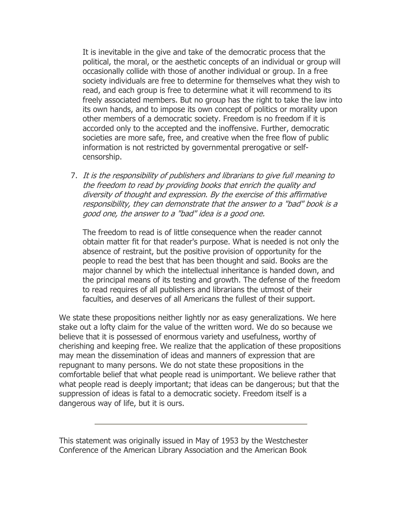It is inevitable in the give and take of the democratic process that the political, the moral, or the aesthetic concepts of an individual or group will occasionally collide with those of another individual or group. In a free society individuals are free to determine for themselves what they wish to read, and each group is free to determine what it will recommend to its freely associated members. But no group has the right to take the law into its own hands, and to impose its own concept of politics or morality upon other members of a democratic society. Freedom is no freedom if it is accorded only to the accepted and the inoffensive. Further, democratic societies are more safe, free, and creative when the free flow of public information is not restricted by governmental prerogative or selfcensorship.

7. It is the responsibility of publishers and librarians to give full meaning to the freedom to read by providing books that enrich the quality and diversity of thought and expression. By the exercise of this affirmative responsibility, they can demonstrate that the answer to a "bad" book is a good one, the answer to a "bad" idea is a good one.

The freedom to read is of little consequence when the reader cannot obtain matter fit for that reader's purpose. What is needed is not only the absence of restraint, but the positive provision of opportunity for the people to read the best that has been thought and said. Books are the major channel by which the intellectual inheritance is handed down, and the principal means of its testing and growth. The defense of the freedom to read requires of all publishers and librarians the utmost of their faculties, and deserves of all Americans the fullest of their support.

We state these propositions neither lightly nor as easy generalizations. We here stake out a lofty claim for the value of the written word. We do so because we believe that it is possessed of enormous variety and usefulness, worthy of cherishing and keeping free. We realize that the application of these propositions may mean the dissemination of ideas and manners of expression that are repugnant to many persons. We do not state these propositions in the comfortable belief that what people read is unimportant. We believe rather that what people read is deeply important; that ideas can be dangerous; but that the suppression of ideas is fatal to a democratic society. Freedom itself is a dangerous way of life, but it is ours.

This statement was originally issued in May of 1953 by the Westchester Conference of the American Library Association and the American Book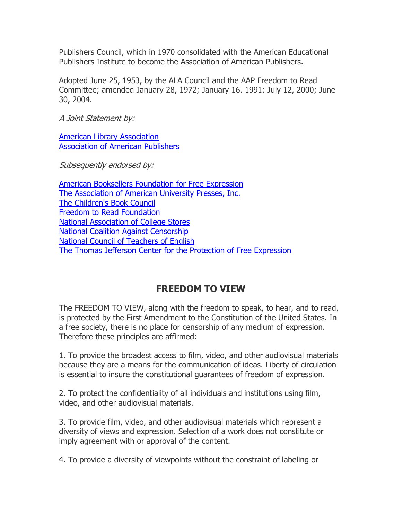Publishers Council, which in 1970 consolidated with the American Educational Publishers Institute to become the Association of American Publishers.

Adopted June 25, 1953, by the ALA Council and the AAP Freedom to Read Committee; amended January 28, 1972; January 16, 1991; July 12, 2000; June 30, 2004.

A Joint Statement by:

[American Library Association](http://www.ala.org/) [Association of American Publishers](http://www.publishers.org/)

Subsequently endorsed by:

[American Booksellers Foundation for Free Expression](http://www.abffe.com/) [The Association of American University Presses, Inc.](http://www.aaupnet.org/) [The Children's Book Council](http://www.cbcbooks.org/) [Freedom to Read Foundation](http://www.ala.org/ala/ourassociation/othergroups/ftrf/freedomreadfoundation.htm) [National Association of College Stores](http://www.nacs.org/) [National Coalition Against Censorship](http://www.ncac.org/) [National Council of Teachers of English](http://www.ncte.org/) [The Thomas Jefferson Center for the Protection of Free Expression](http://www.tjcenter.org/about.html) 

## **FREEDOM TO VIEW**

The FREEDOM TO VIEW, along with the freedom to speak, to hear, and to read, is protected by the First Amendment to the Constitution of the United States. In a free society, there is no place for censorship of any medium of expression. Therefore these principles are affirmed:

1. To provide the broadest access to film, video, and other audiovisual materials because they are a means for the communication of ideas. Liberty of circulation is essential to insure the constitutional guarantees of freedom of expression.

2. To protect the confidentiality of all individuals and institutions using film, video, and other audiovisual materials.

3. To provide film, video, and other audiovisual materials which represent a diversity of views and expression. Selection of a work does not constitute or imply agreement with or approval of the content.

4. To provide a diversity of viewpoints without the constraint of labeling or